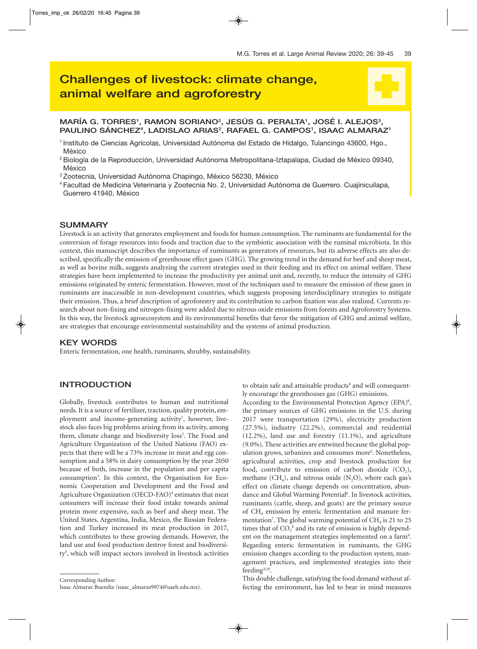# **Challenges of livestock: climate change, animal welfare and agroforestry**

## **MARÍA G. TORRES1 , RAMON SORIANO2 , JESÚS G. PERALTA1 , JOSÉ I. ALEJOS3 ,** PAULINO SÁNCHEZ<sup>4</sup>, LADISLAO ARIAS<sup>2</sup>, RAFAEL G. CAMPOS<sup>1</sup>, ISAAC ALMARAZ<sup>1</sup>

- 1 Instituto de Ciencias Agrícolas, Universidad Autónoma del Estado de Hidalgo, Tulancingo 43600, Hgo., México
- 2 Biología de la Reproducción, Universidad Autónoma Metropolitana-Iztapalapa, Ciudad de México 09340, México
- 3 Zootecnia, Universidad Autónoma Chapingo, México 56230, México
- 4 Facultad de Medicina Veterinaria y Zootecnia No. 2, Universidad Autónoma de Guerrero. Cuajinicuilapa, Guerrero 41940, México

## **SUMMARY**

Livestock is an activity that generates employment and foods for human consumption. The ruminants are fundamental for the conversion of forage resources into foods and traction due to the symbiotic association with the ruminal microbiota. In this context, this manuscript describes the importance of ruminants as generators of resources, but its adverse effects are also described, specifically the emission of greenhouse effect gases (GHG). The growing trend in the demand for beef and sheep meat, as well as bovine milk, suggests analyzing the current strategies used in their feeding and its effect on animal welfare. These strategies have been implemented to increase the productivity per animal unit and, recently, to reduce the intensity of GHG emissions originated by enteric fermentation. However, most of the techniques used to measure the emission of these gases in ruminants are inaccessible in non-development countries, which suggests proposing interdisciplinary strategies to mitigate their emission. Thus, a brief description of agroforestry and its contribution to carbon fixation was also realized. Currents research about non-fixing and nitrogen-fixing were added due to nitrous oxide emissions from forests and Agroforestry Systems. In this way, the livestock agroecosystem and its environmental benefits that favor the mitigation of GHG and animal welfare, are strategies that encourage environmental sustainability and the systems of animal production.

## **KEY WORDS**

Enteric fermentation, one health, ruminants, shrubby, sustainability.

## **INTRODUCTION**

Globally, livestock contributes to human and nutritional needs. It is a source of fertilizer, traction, quality protein, employment and income-generating activity<sup>1</sup>, however, livestock also faces big problems arising from its activity, among them, climate change and biodiversity loss<sup>2</sup>. The Food and Agriculture Organization of the United Nations (FAO) expects that there will be a 73% increase in meat and egg consumption and a 58% in dairy consumption by the year 2050 because of both, increase in the population and per capita consumption<sup>3</sup>. In this context, the Organisation for Economic Cooperation and Development and the Food and Agriculture Organization (OECD-FAO)<sup>4</sup> estimates that meat consumers will increase their food intake towards animal protein more expensive, such as beef and sheep meat. The United States, Argentina, India, Mexico, the Russian Federation and Turkey increased its meat production in 2017, which contributes to these growing demands. However, the land use and food production destroy forest and biodiversity<sup>5</sup>, which will impact sectors involved in livestock activities

to obtain safe and attainable products<sup>4</sup> and will consequently encourage the greenhouses gas (GHG) emissions.

According to the Environmental Protection Agency (EPA)<sup>6</sup>, the primary sources of GHG emissions in the U.S. during 2017 were transportation (29%), electricity production (27.5%), industry (22.2%), commercial and residential (12.2%), land use and forestry (11.1%), and agriculture (9.0%). These activities are entwined because the global population grows, urbanizes and consumes more<sup>5</sup>. Nonetheless, agricultural activities, crop and livestock production for food, contribute to emission of carbon dioxide  $(CO<sub>2</sub>)$ , methane  $(CH_4)$ , and nitrous oxide  $(N, O)$ , where each gas's effect on climate change depends on concentration, abundance and Global Warming Potential<sup>6</sup>. In livestock activities, ruminants (cattle, sheep, and goats) are the primary source of CH<sub>4</sub> emission by enteric fermentation and manure fermentation<sup>7</sup>. The global warming potential of  $CH_4$  is 21 to 25 times that of  $CO_2^8$  and its rate of emission is highly dependent on the management strategies implemented on a farm<sup>9</sup>. Regarding enteric fermentation in ruminants, the GHG emission changes according to the production system, management practices, and implemented strategies into their feeding $3;10$ .

This double challenge, satisfying the food demand without affecting the environment, has led to bear in mind measures

Isaac Almaraz Buendía (isaac\_almaraz9974@uaeh.edu.mx).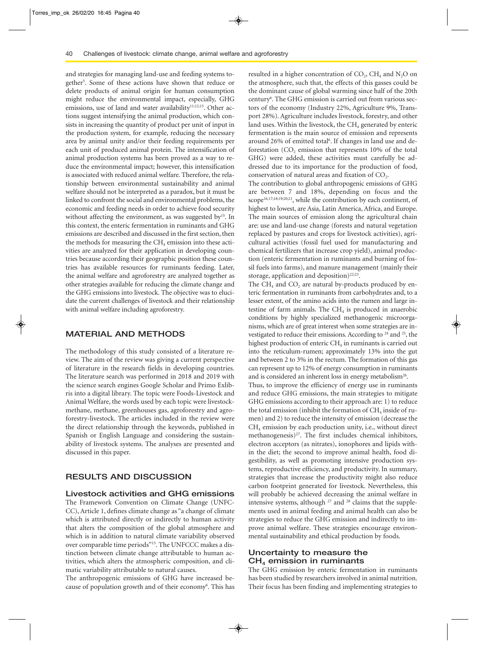and strategies for managing land-use and feeding systems together5 . Some of these actions have shown that reduce or delete products of animal origin for human consumption might reduce the environmental impact, especially, GHG emissions, use of land and water availability<sup>11;12;13</sup>. Other actions suggest intensifying the animal production, which consists in increasing the quantity of product per unit of input in the production system, for example, reducing the necessary area by animal unity and/or their feeding requirements per each unit of produced animal protein. The intensification of animal production systems has been proved as a way to reduce the environmental impact; however, this intensification is associated with reduced animal welfare. Therefore, the relationship between environmental sustainability and animal welfare should not be interpreted as a paradox, but it must be linked to confront the social and environmental problems, the economic and feeding needs in order to achieve food security without affecting the environment, as was suggested by<sup>15</sup>. In this context, the enteric fermentation in ruminants and GHG emissions are described and discussed in the first section, then the methods for measuring the  $CH<sub>4</sub>$  emission into these activities are analyzed for their application in developing countries because according their geographic position these countries has available resources for ruminants feeding. Later, the animal welfare and agroforestry are analyzed together as other strategies available for reducing the climate change and the GHG emissions into livestock. The objective was to elucidate the current challenges of livestock and their relationship with animal welfare including agroforestry.

#### **MATERIAL AND METHODS**

The methodology of this study consisted of a literature review. The aim of the review was giving a current perspective of literature in the research fields in developing countries. The literature search was performed in 2018 and 2019 with the science search engines Google Scholar and Primo Exlibris into a digital library. The topic were Foods-Livestock and Animal Welfare, the words used by each topic were livestockmethane, methane, greenhouses gas, agroforestry and agroforestry-livestock. The articles included in the review were the direct relationship through the keywords, published in Spanish or English Language and considering the sustainability of livestock systems. The analyses are presented and discussed in this paper.

## **RESULTS AND DISCUSSION**

**Livestock activities and GHG emissions** The Framework Convention on Climate Change (UNFC-CC), Article 1, defines climate change as "a change of climate which is attributed directly or indirectly to human activity that alters the composition of the global atmosphere and which is in addition to natural climate variability observed over comparable time periods"15. The UNFCCC makes a distinction between climate change attributable to human activities, which alters the atmospheric composition, and climatic variability attributable to natural causes.

The anthropogenic emissions of GHG have increased because of population growth and of their economy<sup>6</sup>. This has

resulted in a higher concentration of  $CO<sub>2</sub>$ ,  $CH<sub>4</sub>$  and  $N<sub>2</sub>O$  on the atmosphere, such that, the effects of this gasses could be the dominant cause of global warming since half of the 20th century<sup>6</sup>. The GHG emission is carried out from various sectors of the economy (Industry 22%, Agriculture 9%, Transport 28%). Agriculture includes livestock, forestry, and other land uses. Within the livestock, the  $CH<sub>4</sub>$  generated by enteric fermentation is the main source of emission and represents around 26% of emitted total<sup>6</sup>. If changes in land use and deforestation  $(CO<sub>2</sub>)$  emission that represents 10% of the total GHG) were added, these activities must carefully be addressed due to its importance for the production of food, conservation of natural areas and fixation of  $CO<sub>2</sub>$ .

The contribution to global anthropogenic emissions of GHG are between 7 and 18%, depending on focus and the scope<sup>16,17;18;19;20;21</sup>, while the contribution by each continent, of highest to lowest, are Asia, Latin America, Africa, and Europe. The main sources of emission along the agricultural chain are: use and land-use change (forests and natural vegetation replaced by pastures and crops for livestock activities), agricultural activities (fossil fuel used for manufacturing and chemical fertilizers that increase crop yield), animal production (enteric fermentation in ruminants and burning of fossil fuels into farms), and manure management (mainly their storage, application and deposition)<sup>22;23</sup>.

The CH<sub>4</sub> and CO<sub>2</sub> are natural by-products produced by enteric fermentation in ruminants from carbohydrates and, to a lesser extent, of the amino acids into the rumen and large intestine of farm animals. The  $CH<sub>4</sub>$  is produced in anaerobic conditions by highly specialized methanogenic microorganisms, which are of great interest when some strategies are investigated to reduce their emissions. According to <sup>24</sup> and <sup>25</sup>, the highest production of enteric CH<sub>4</sub> in ruminants is carried out into the reticulum-rumen; approximately 13% into the gut and between 2 to 3% in the rectum. The formation of this gas can represent up to 12% of energy consumption in ruminants and is considered an inherent loss in energy metabolism<sup>26</sup>.

Thus, to improve the efficiency of energy use in ruminants and reduce GHG emissions, the main strategies to mitigate GHG emissions according to their approach are: 1) to reduce the total emission (inhibit the formation of  $CH<sub>4</sub>$  inside of rumen) and 2) to reduce the intensity of emission (decrease the  $CH<sub>4</sub>$  emission by each production unity, i.e., without direct methanogenesis) $27$ . The first includes chemical inhibitors, electron acceptors (as nitrates), ionophores and lipids within the diet; the second to improve animal health, food digestibility, as well as promoting intensive production systems, reproductive efficiency, and productivity. In summary, strategies that increase the productivity might also reduce carbon footprint generated for livestock. Nevertheless, this will probably be achieved decreasing the animal welfare in intensive systems, although  $27$  and  $28$  claims that the supplements used in animal feeding and animal health can also be strategies to reduce the GHG emission and indirectly to improve animal welfare. These strategies encourage environmental sustainability and ethical production by foods.

#### **Uncertainty to measure the CH4 emission in ruminants**

The GHG emission by enteric fermentation in ruminants has been studied by researchers involved in animal nutrition. Their focus has been finding and implementing strategies to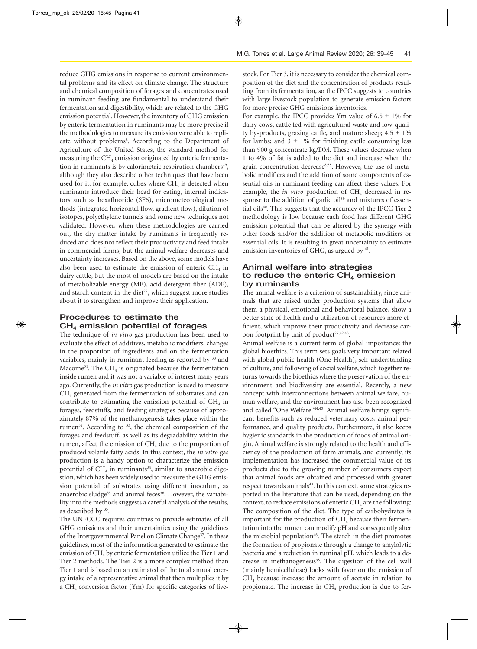reduce GHG emissions in response to current environmental problems and its effect on climate change. The structure and chemical composition of forages and concentrates used in ruminant feeding are fundamental to understand their fermentation and digestibility, which are related to the GHG emission potential. However, the inventory of GHG emission by enteric fermentation in ruminants may be more precise if the methodologies to measure its emission were able to replicate without problems<sup>8</sup>. According to the Department of Agriculture of the United States, the standard method for measuring the  $CH<sub>4</sub>$  emission originated by enteric fermentation in ruminants is by calorimetric respiration chambers<sup>29</sup>, although they also describe other techniques that have been used for it, for example, cubes where  $CH<sub>4</sub>$  is detected when ruminants introduce their head for eating, internal indicators such as hexafluoride (SF6), micrometeorological methods (integrated horizontal flow, gradient flow), dilution of isotopes, polyethylene tunnels and some new techniques not validated. However, when these methodologies are carried out, the dry matter intake by ruminants is frequently reduced and does not reflect their productivity and feed intake in commercial farms, but the animal welfare decreases and uncertainty increases. Based on the above, some models have also been used to estimate the emission of enteric  $CH<sub>4</sub>$  in dairy cattle, but the most of models are based on the intake of metabolizable energy (ME), acid detergent fiber (ADF), and starch content in the diet<sup>29</sup>, which suggest more studies about it to strengthen and improve their application.

## **Procedures to estimate the CH4 emission potential of forages**

The technique of *in vitro* gas production has been used to evaluate the effect of additives, metabolic modifiers, changes in the proportion of ingredients and on the fermentation variables, mainly in ruminant feeding as reported by <sup>30</sup> and Macome<sup>31</sup>. The CH<sub>4</sub> is originated because the fermentation inside rumen and it was not a variable of interest many years ago. Currently, the *in vitro* gas production is used to measure CH4 generated from the fermentation of substrates and can contribute to estimating the emission potential of  $CH<sub>4</sub>$  in forages, feedstuffs, and feeding strategies because of approximately 87% of the methanogenesis takes place within the rumen<sup>32</sup>. According to <sup>33</sup>, the chemical composition of the forages and feedstuff, as well as its degradability within the rumen, affect the emission of  $CH<sub>4</sub>$  due to the proportion of produced volatile fatty acids. In this context, the *in vitro* gas production is a handy option to characterize the emission potential of  $CH_4$  in ruminants<sup>34</sup>, similar to anaerobic digestion, which has been widely used to measure the GHG emission potential of substrates using different inoculum, as anaerobic sludge<sup>35</sup> and animal feces<sup>36</sup>. However, the variability into the methods suggests a careful analysis of the results, as described by 35.

The UNFCCC requires countries to provide estimates of all GHG emissions and their uncertainties using the guidelines of the Intergovernmental Panel on Climate Change<sup>37</sup>. In these guidelines, most of the information generated to estimate the emission of CH<sub>4</sub> by enteric fermentation utilize the Tier 1 and Tier 2 methods. The Tier 2 is a more complex method than Tier 1 and is based on an estimated of the total annual energy intake of a representative animal that then multiplies it by a  $CH<sub>4</sub>$  conversion factor (Ym) for specific categories of livestock. For Tier 3, it is necessary to consider the chemical composition of the diet and the concentration of products resulting from its fermentation, so the IPCC suggests to countries with large livestock population to generate emission factors for more precise GHG emissions inventories.

For example, the IPCC provides Ym value of  $6.5 \pm 1\%$  for dairy cows, cattle fed with agricultural waste and low-quality by-products, grazing cattle, and mature sheep;  $4.5 \pm 1\%$ for lambs; and  $3 \pm 1\%$  for finishing cattle consuming less than 900 g concentrate kg/DM. These values decrease when 1 to 4% of fat is added to the diet and increase when the grain concentration decrease<sup>8;38</sup>. However, the use of metabolic modifiers and the addition of some components of essential oils in ruminant feeding can affect these values. For example, the *in vitro* production of CH<sub>4</sub> decreased in response to the addition of garlic oil<sup>39</sup> and mixtures of essential oils<sup>40</sup>. This suggests that the accuracy of the IPCC Tier 2 methodology is low because each food has different GHG emission potential that can be altered by the synergy with other foods and/or the addition of metabolic modifiers or essential oils. It is resulting in great uncertainty to estimate emission inventories of GHG, as argued by <sup>41</sup>.

## **Animal welfare into strategies** to reduce the enteric CH<sub>4</sub> emission **by ruminants**

The animal welfare is a criterion of sustainability, since animals that are raised under production systems that allow them a physical, emotional and behavioral balance, show a better state of health and a utilization of resources more efficient, which improve their productivity and decrease carbon footprint by unit of product<sup>27;42;43</sup>.

Animal welfare is a current term of global importance: the global bioethics. This term sets goals very important related with global public health (One Health), self-understanding of culture, and following of social welfare, which together returns towards the bioethics where the preservation of the environment and biodiversity are essential. Recently, a new concept with interconnections between animal welfare, human welfare, and the environment has also been recognized and called "One Welfare"<sup>44;45</sup>. Animal welfare brings significant benefits such as reduced veterinary costs, animal performance, and quality products. Furthermore, it also keeps hygienic standards in the production of foods of animal origin. Animal welfare is strongly related to the health and efficiency of the production of farm animals, and currently, its implementation has increased the commercial value of its products due to the growing number of consumers expect that animal foods are obtained and processed with greater respect towards animals<sup>43</sup>. In this context, some strategies reported in the literature that can be used, depending on the context, to reduce emissions of enteric  $CH<sub>4</sub>$  are the following: The composition of the diet. The type of carbohydrates is important for the production of  $CH<sub>4</sub>$  because their fermentation into the rumen can modify pH and consequently alter the microbial population<sup>46</sup>. The starch in the diet promotes the formation of propionate through a change to amylolytic bacteria and a reduction in ruminal pH, which leads to a decrease in methanogenesis<sup>38</sup>. The digestion of the cell wall (mainly hemicellulose) looks with favor on the emission of  $CH<sub>4</sub>$  because increase the amount of acetate in relation to propionate. The increase in  $CH_4$  production is due to fer-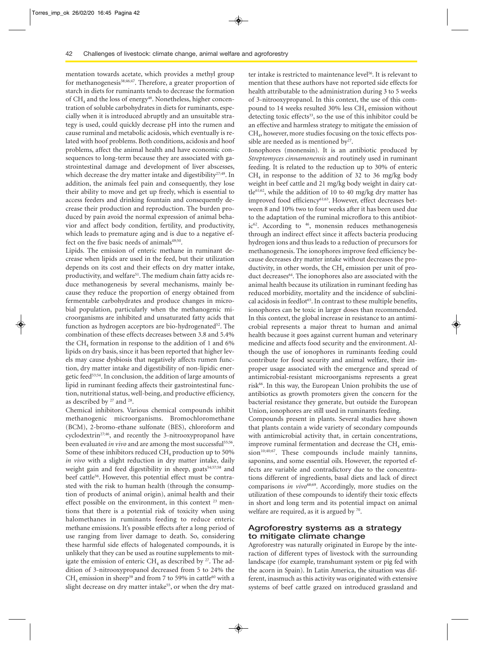mentation towards acetate, which provides a methyl group for methanogenesis<sup>38;46;47</sup>. Therefore, a greater proportion of starch in diets for ruminants tends to decrease the formation of CH<sub>4</sub> and the loss of energy<sup>48</sup>. Nonetheless, higher concentration of soluble carbohydrates in diets for ruminants, especially when it is introduced abruptly and an unsuitable strategy is used, could quickly decrease pH into the rumen and cause ruminal and metabolic acidosis, which eventually is related with hoof problems. Both conditions, acidosis and hoof problems, affect the animal health and have economic consequences to long-term because they are associated with gastrointestinal damage and development of liver abscesses, which decrease the dry matter intake and digestibility<sup>27;49</sup>. In addition, the animals feel pain and consequently, they lose their ability to move and get up freely, which is essential to access feeders and drinking fountain and consequently decrease their production and reproduction. The burden produced by pain avoid the normal expression of animal behavior and affect body condition, fertility, and productivity, which leads to premature aging and is due to a negative effect on the five basic needs of animals<sup>49;50</sup>.

Lipids. The emission of enteric methane in ruminant decrease when lipids are used in the feed, but their utilization depends on its cost and their effects on dry matter intake, productivity, and welfare<sup>51</sup>. The medium chain fatty acids reduce methanogenesis by several mechanisms, mainly because they reduce the proportion of energy obtained from fermentable carbohydrates and produce changes in microbial population, particularly when the methanogenic microorganisms are inhibited and unsaturated fatty acids that function as hydrogen acceptors are bio-hydrogenated<sup>52</sup>. The combination of these effects decreases between 3.8 and 5.4% the CH<sub>4</sub> formation in response to the addition of 1 and  $6\%$ lipids on dry basis, since it has been reported that higher levels may cause dysbiosis that negatively affects rumen function, dry matter intake and digestibility of non-lipidic energetic feed53;54. In conclusion, the addition of large amounts of lipid in ruminant feeding affects their gastrointestinal function, nutritional status, well-being, and productive efficiency, as described by 27 and 28.

Chemical inhibitors. Various chemical compounds inhibit methanogenic microorganisms. Bromochloromethane (BCM), 2-bromo-ethane sulfonate (BES), chloroform and cyclodextrin<sup>27;46</sup>, and recently the 3-nitrooxypropanol have been evaluated *in vivo* and are among the most successful<sup>55,56</sup>. Some of these inhibitors reduced  $CH<sub>4</sub>$  production up to 50% *in vivo* with a slight reduction in dry matter intake, daily weight gain and feed digestibility in sheep, goats<sup>54;57;58</sup> and beef cattle<sup>56</sup>. However, this potential effect must be contrasted with the risk to human health (through the consumption of products of animal origin), animal health and their effect possible on the environment, in this context  $^{23}$  mentions that there is a potential risk of toxicity when using halomethanes in ruminants feeding to reduce enteric methane emissions. It's possible effects after a long period of use ranging from liver damage to death. So, considering these harmful side effects of halogenated compounds, it is unlikely that they can be used as routine supplements to mitigate the emission of enteric CH<sub>4</sub> as described by  $27$ . The addition of 3-nitrooxypropanol decreased from 5 to 24% the  $CH<sub>4</sub>$  emission in sheep<sup>59</sup> and from 7 to 59% in cattle<sup>60</sup> with a slight decrease on dry matter intake<sup>55</sup>, or when the dry matter intake is restricted to maintenance level<sup>56</sup>. It is relevant to mention that these authors have not reported side effects for health attributable to the administration during 3 to 5 weeks of 3-nitrooxypropanol. In this context, the use of this compound to 14 weeks resulted 30% less  $CH<sub>4</sub>$  emission without detecting toxic effects<sup>33</sup>, so the use of this inhibitor could be an effective and harmless strategy to mitigate the emission of CH4, however, more studies focusing on the toxic effects possible are needed as is mentioned by $2^7$ .

Ionophores (monensin). It is an antibiotic produced by *Streptomyces cinnamonensis* and routinely used in ruminant feeding. It is related to the reduction up to 30% of enteric  $CH<sub>4</sub>$  in response to the addition of 32 to 36 mg/kg body weight in beef cattle and 21 mg/kg body weight in dairy cattle $61,62$ , while the addition of 10 to 40 mg/kg dry matter has improved food efficiency<sup>61;63</sup>. However, effect decreases between 8 and 10% two to four weeks after it has been used due to the adaptation of the ruminal microflora to this antibiotic<sup>62</sup>. According to <sup>46</sup>, monensin reduces methanogenesis through an indirect effect since it affects bacteria producing hydrogen ions and thus leads to a reduction of precursors for methanogenesis. The ionophores improve feed efficiency because decreases dry matter intake without decreases the productivity, in other words, the  $CH<sub>4</sub>$  emission per unit of product decreases<sup>64</sup>. The ionophores also are associated with the animal health because its utilization in ruminant feeding has reduced morbidity, mortality and the incidence of subclinical acidosis in feedlot<sup>65</sup>. In contrast to these multiple benefits, ionophores can be toxic in larger doses than recommended. In this context, the global increase in resistance to an antimicrobial represents a major threat to human and animal health because it goes against current human and veterinary medicine and affects food security and the environment. Although the use of ionophores in ruminants feeding could contribute for food security and animal welfare, their improper usage associated with the emergence and spread of antimicrobial-resistant microorganisms represents a great risk<sup>66</sup>. In this way, the European Union prohibits the use of antibiotics as growth promoters given the concern for the bacterial resistance they generate, but outside the European Union, ionophores are still used in ruminants feeding.

Compounds present in plants. Several studies have shown that plants contain a wide variety of secondary compounds with antimicrobial activity that, in certain concentrations, improve ruminal fermentation and decrease the  $CH<sub>4</sub>$  emis $sion<sup>10;40;67</sup>$ . These compounds include mainly tannins, saponins, and some essential oils. However, the reported effects are variable and contradictory due to the concentrations different of ingredients, basal diets and lack of direct comparisons *in vivo*68;69. Accordingly, more studies on the utilization of these compounds to identify their toxic effects in short and long term and its potential impact on animal welfare are required, as it is argued by <sup>70</sup>.

### **Agroforestry systems as a strategy to mitigate climate change**

Agroforestry was naturally originated in Europe by the interaction of different types of livestock with the surrounding landscape (for example, transhumant system or pig fed with the acorn in Spain). In Latin America, the situation was different, inasmuch as this activity was originated with extensive systems of beef cattle grazed on introduced grassland and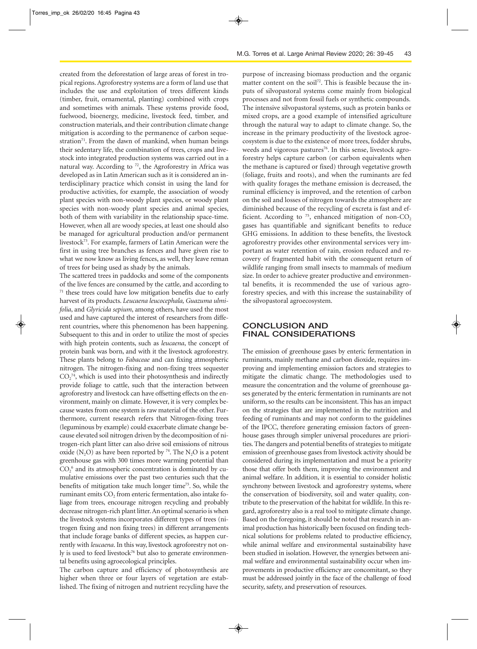created from the deforestation of large areas of forest in tropical regions. Agroforestry systems are a form of land use that includes the use and exploitation of trees different kinds (timber, fruit, ornamental, planting) combined with crops and sometimes with animals. These systems provide food, fuelwood, bioenergy, medicine, livestock feed, timber, and construction materials, and their contribution climate change mitigation is according to the permanence of carbon sequestration<sup>71</sup>. From the dawn of mankind, when human beings their sedentary life, the combination of trees, crops and livestock into integrated production systems was carried out in a natural way. According to <sup>72</sup>, the Agroforestry in Africa was developed as in Latin American such as it is considered an interdisciplinary practice which consist in using the land for productive activities, for example, the association of woody plant species with non-woody plant species, or woody plant species with non-woody plant species and animal species, both of them with variability in the relationship space-time. However, when all are woody species, at least one should also be managed for agricultural production and/or permanent livestock73. For example, farmers of Latin American were the first in using tree branches as fences and have given rise to what we now know as living fences, as well, they leave reman of trees for being used as shady by the animals.

The scattered trees in paddocks and some of the components of the live fences are consumed by the cattle, and according to  $71$  these trees could have low mitigation benefits due to early harvest of its products. *Leucaena leucocephala, Guazuma ulmifolia*, and *Glyricida sepium*, among others, have used the most used and have captured the interest of researchers from different countries, where this phenomenon has been happening. Subsequent to this and in order to utilize the most of species with high protein contents, such as *leucaena*, the concept of protein bank was born, and with it the livestock agroforestry. These plants belong to *Fabaceae* and can fixing atmospheric nitrogen. The nitrogen-fixing and non-fixing trees sequester  $CO<sub>2</sub><sup>74</sup>$ , which is used into their photosynthesis and indirectly provide foliage to cattle, such that the interaction between agroforestry and livestock can have offsetting effects on the environment, mainly on climate. However, it is very complex because wastes from one system is raw material of the other. Furthermore, current research refers that Nitrogen-fixing trees (leguminous by example) could exacerbate climate change because elevated soil nitrogen driven by the decomposition of nitrogen-rich plant litter can also drive soil emissions of nitrous oxide  $(N_2O)$  as have been reported by <sup>74</sup>. The N<sub>2</sub>O is a potent greenhouse gas with 300 times more warming potential than  $CO<sub>2</sub><sup>6</sup>$  and its atmospheric concentration is dominated by cumulative emissions over the past two centuries such that the benefits of mitigation take much longer time<sup>75</sup>. So, while the ruminant emits CO<sub>2</sub> from enteric fermentation, also intake foliage from trees, encourage nitrogen recycling and probably decrease nitrogen-rich plant litter. An optimal scenario is when the livestock systems incorporates different types of trees (nitrogen fixing and non fixing trees) in different arrangements that include forage banks of different species, as happen currently with *leucaena*. In this way, livestock agroforestry not only is used to feed livestock<sup>76</sup> but also to generate environmental benefits using agroecological principles.

The carbon capture and efficiency of photosynthesis are higher when three or four layers of vegetation are established. The fixing of nitrogen and nutrient recycling have the

purpose of increasing biomass production and the organic matter content on the soil<sup>72</sup>. This is feasible because the inputs of silvopastoral systems come mainly from biological processes and not from fossil fuels or synthetic compounds. The intensive silvopastoral systems, such as protein banks or mixed crops, are a good example of intensified agriculture through the natural way to adapt to climate change. So, the increase in the primary productivity of the livestock agroecosystem is due to the existence of more trees, fodder shrubs, weeds and vigorous pastures<sup>76</sup>. In this sense, livestock agroforestry helps capture carbon (or carbon equivalents when the methane is captured or fixed) through vegetative growth (foliage, fruits and roots), and when the ruminants are fed with quality forages the methane emission is decreased, the ruminal efficiency is improved, and the retention of carbon on the soil and losses of nitrogen towards the atmosphere are diminished because of the recycling of excreta is fast and efficient. According to  $75$ , enhanced mitigation of non-CO<sub>2</sub> gases has quantifiable and significant benefits to reduce GHG emissions. In addition to these benefits, the livestock agroforestry provides other environmental services very important as water retention of rain, erosion reduced and recovery of fragmented habit with the consequent return of wildlife ranging from small insects to mammals of medium size. In order to achieve greater productive and environmental benefits, it is recommended the use of various agroforestry species, and with this increase the sustainability of the silvopastoral agroecosystem.

## **CONCLUSION AND FINAL CONSIDERATIONS**

The emission of greenhouse gases by enteric fermentation in ruminants, mainly methane and carbon dioxide, requires improving and implementing emission factors and strategies to mitigate the climatic change. The methodologies used to measure the concentration and the volume of greenhouse gases generated by the enteric fermentation in ruminants are not uniform, so the results can be inconsistent. This has an impact on the strategies that are implemented in the nutrition and feeding of ruminants and may not conform to the guidelines of the IPCC, therefore generating emission factors of greenhouse gases through simpler universal procedures are priorities. The dangers and potential benefits of strategies to mitigate emission of greenhouse gases from livestock activity should be considered during its implementation and must be a priority those that offer both them, improving the environment and animal welfare. In addition, it is essential to consider holistic synchrony between livestock and agroforestry systems, where the conservation of biodiversity, soil and water quality, contribute to the preservation of the habitat for wildlife. In this regard, agroforestry also is a real tool to mitigate climate change. Based on the foregoing, it should be noted that research in animal production has historically been focused on finding technical solutions for problems related to productive efficiency, while animal welfare and environmental sustainability have been studied in isolation. However, the synergies between animal welfare and environmental sustainability occur when improvements in productive efficiency are concomitant, so they must be addressed jointly in the face of the challenge of food security, safety, and preservation of resources.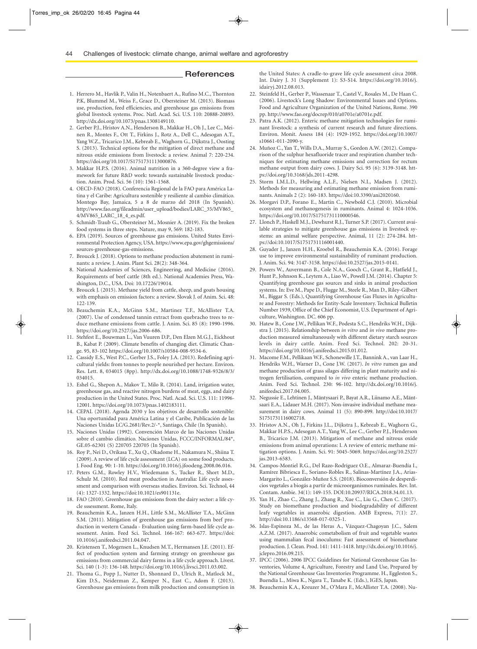#### **References**

- 1. Herrero M., Havlik P., Valin H., Notenbaert A., Rufino M.C., Thornton P.K, Blummel M., Weiss F., Grace D., Obersteiner M. (2013). Biomass use, production, feed efficiencies, and greenhouse gas emissions from global livestock systems. Proc. Natl. Acad. Sci. U.S. 110: 20888-20893. http://dx.doi.org/10.1073/pnas.1308149110.
- 2. Gerber P.J., Hristov A.N., Henderson B., Makkar H., Oh J., Lee C., Meinen R., Montes F., Ott T., Firkins J., Rotz A., Dell C., Adesogan A.T., Yang W.Z., Tricarico J.M., Kebreab E., Waghorn G., Dijkstra J., Oosting S. (2013). Technical options for the mitigation of direct methane and nitrous oxide emissions from livestock: a review. Animal 7: 220-234. https://doi.org/10.1017/S1751731113000876.
- 3. Makkar H.P.S. (2016). Animal nutrition in a 360-degree view a framework for future R&D work: towards sustainable livestock production. Anim. Prod. Sci. 56 (10): 1561-1568.
- 4. OECD-FAO (2018). Conferencia Regional de la FAO para América Latina y el Caribe: Agricultura sostenible y resiliente al cambio climático. Montego Bay, Jamaica, 5 a 8 de marzo del 2018 (In Spanish). http://www.fao.org/fileadmin/user\_upload/bodies/LARC\_35/MV865\_ 4/MV865\_LARC\_18\_4\_es.pdf.
- 5. Schmidt-Traub G., Obersteiner M., Mosnier A. (2019). Fix the broken food systems in three steps. Nature, may 9, 569: 182-183.
- 6. EPA (2019). Sources of greenhouse gas emissions. United States Environmental Protection Agency, USA. https://www.epa.gov/ghgemissions/ sources-greenhouse-gas-emissions.
- 7. Broucek J. (2018). Options to methane production abatement in ruminants: a review. J. Anim. Plant Sci. 28(2): 348-364.
- 8. National Academies of Sciences, Engineering, and Medicine (2016). Requirements of beef cattle (8th ed.). National Academies Press, Washington, D.C., USA. Doi: 10.17226/19014.
- 9. Broucek J. (2015). Methane yield from cattle, sheep, and goats housing with emphasis on emission factors: a review. Slovak J. of Anim. Sci. 48: 122-139.
- 10. Beauchemin K.A., McGinn S.M., Martinez T.F., McAllister T.A. (2007). Use of condensed tannin extract from quebracho trees to reduce methane emissions from cattle. J. Anim. Sci. 85 (8): 1990-1996. https://doi.org/10.2527/jas.2006-686.
- 11. Stehfest E., Bouwman L., Van Vuuren D.P., Den Elzen M.G.J., Eickhout B., Kabat P. (2009). Climate benefits of changing diet. Climatic Change. 95, 83-102 https://doi.org/10.1007/s10584-008-9534-6.
- 12. Cassidy E.S., West P.C., Gerber J.S., Foley J.A. (2013). Redefining agricultural yields: from tonnes to people nourished per hectare. Environ. Res. Lett. 8, 034015 (8pp). http://dx.doi.org/10.1088/1748-9326/8/3/ 034015.
- 13. Eshel G., Shepon A., Makov T., Milo R. (2014). Land, irrigation water, greenhouse gas, and reactive nitrogen burdens of meat, eggs, and dairy production in the United States. Proc. Natl. Acad. Sci. U.S. 111: 11996- 12001. https://doi.org/10.1073/pnas.1402183111.
- 14. CEPAL (2018). Agenda 2030 y los objetivos de desarrollo sostenible: Una oportunidad para América Latina y el Caribe, Publicación de las Naciones Unidas LC/G.2681/Rev.2/-\*, Santiago, Chile (In Spanish).
- 15. Naciones Unidas (1992). Convención Marco de las Naciones Unidas sobre el cambio climático. Naciones Unidas, FCCC/INFORMAL/84\*, GE.05-62301 (S) 220705 220705 (In Spanish).
- 16. Roy P., Nei D., Orikasa T., Xu Q., Okadome H., Nakamura N., Shiina T. (2009). A review of life cycle assessment (LCA) on some food products. J. Food Eng. 90: 1-10. https://doi.org/10.1016/j.jfoodeng.2008.06.016.
- 17. Peters G.M., Rowley H.V., Wiedemann S., Tucker R., Short M.D., Schulz M. (2010). Red meat production in Australia: Life cycle assessment and comparison with overseas studies. Environ. Sci. Technol, 44 (4): 1327-1332. https://doi:10.1021/es901131e.
- 18. FAO (2010). Greenhouse gas emissions from the dairy sector: a life cycle sssessment. Rome, Italy.
- 19. Beauchemin K.A., Janzen H.H., Little S.M., McAllister T.A., McGinn S.M. (2011). Mitigation of greenhouse gas emissions from beef production in western Canada - Evaluation using farm-based life cycle assessment. Anim. Feed Sci. Technol. 166-167: 663-677. https://doi: 10.1016/j.anifeedsci.2011.04.047.
- 20. Kristensen T., Mogensen L., Knudsen M.T., Hermansen J.E. (2011). Effect of production system and farming strategy on greenhouse gas emissions from commercial dairy farms in a life cycle approach. Livest. Sci. 140 (1-3): 136-148. https://doi.org/10.1016/j.livsci.2011.03.002.
- 21. Thoma G., Popp J., Nutter D., Shonnard D., Ulrich R., Matlock M., Kim D.S., Neiderman Z., Kemper N., East C., Adom F. (2013). Greenhouse gas emissions from milk production and consumption in

the United States: A cradle-to-grave life cycle assessment circa 2008. Int. Dairy J. 31 (Supplement 1): S3-S14. https://doi.org/10.1016/j. idairyj.2012.08.013.

- 22. Steinfeld H., Gerber P., Wassenaar T., Castel V., Rosales M., De Haan C. (2006). Livestock's Long Shadow: Environmental Issues and Options. Food and Agriculture Organization of the United Nations, Rome. 390 pp. http://www.fao.org/docrep/010/a0701e/a0701e.pdf.
- 23. Patra A.K. (2012). Enteric methane mitigation technologies for ruminant livestock: a synthesis of current research and future directions. Environ. Monit. Assess 184 (4): 1929-1952. https://doi.org/10.1007/ s10661-011-2090-y.
- 24. Muñoz C., Yan T., Wills D.A., Murray S., Gordon A.W. (2012). Comparison of the sulphur hexafluoride tracer and respiration chamber techniques for estimating methane emissions and correction for rectum methane output from dairy cows. J. Dairy Sci. 95 (6): 3139-3148. https://doi.org/10.3168/jds.2011-4298.
- 25. Storm I.M.L.D., Hellwing A.L.F., Nielsen N.I., Madsen J. (2012). Methods for measuring and estimating methane emission from ruminants. Animals 2 (2): 160-183. https://doi:10.3390/ani2020160.
- 26. Morgavi D.P., Forano E., Martin C., Newbold C.J. (2010). Microbial ecosystem and methanogenesis in ruminants. Animal 4: 1024-1036. https://doi.org/10.1017/S1751731110000546.
- 27. Llonch P., Haskell M.J., Dewhurst R.J., Turner S.P. (2017). Current available strategies to mitigate greenhouse gas emissions in livestock systems: an animal welfare perspective. Animal, 11 (2): 274-284. https://doi:10.1017/S1751731116001440.
- 28. Guyader J., Janzen H.H., Kroebel R., Beauchemin K.A. (2016). Forage use to improve environmental sustainability of ruminant production. J. Anim. Sci. 94: 3147-3158. https://doi:10.2527/jas.2015-0141.
- 29. Powers W., Auvermann B., Cole N.A., Gooch C., Grant R., Hatfield J., Hunt P., Johnson K., Leytem A., Liao W., Powell J.M. (2014). Chapter 5: Quantifying greenhouse gas sources and sinks in animal production systems. In: Eve M., Pape D., Flugge M., Steele R., Man D., Riley-Gilbert M., Biggar S. (Eds.), Quantifying Greenhouse Gas Fluxes in Agriculture and Forestry: Methods for Entity-Scale Inventory. Technical Bulletin Number 1939, Office of the Chief Economist, U.S. Department of Agriculture, Washington. DC. 606 pp.
- 30. Hatew B., Cone J.W., Pellikan W.F., Podesta S.C., Hendriks W.H., Dijkstra J. (2015). Relationship between *in vitro* and *in vivo* methane production measured simultaneously with different dietary starch sources levels in dairy cattle. Anim. Feed Sci. Technol. 202: 20-31. https://doi.org/10.1016/j.anifeedsci.2015.01.012.
- 31. Macome F.M., Pellikaan W.F., Schonewille J.T., Bannink A., van Laar H., Hendriks W.H., Warner D., Cone J.W. (2017). *In vitro* rumen gas and methane production of grass silages differing in plant maturity and nitrogen fertilisation, compared to *in vivo* enteric methane production. Anim. Feed Sci. Technol. 230: 96-102. http://dx.doi.org/10.1016/j. anifeedsci.2017.04.005.
- 32. Negussie E., Lehtinen J., Mäntysaari P., Bayat A.R., Liinamo A.E., Mäntsaari E.A., Lidauer M.H. (2017). Non-invasive individual methane measurement in dairy cows. Animal 11 (5): 890-899. http://doi:10.1017/ S1751731116002718.
- 33. Hristov A.N., Oh J., Firkins J.L., Dijkstra J., Kebreab E., Waghorn G., Makkar H.P.S., Adesogan A.T., Yang W., Lee C., Gerber P.J., Henderson B., Tricarico J.M. (2013). Mitigation of methane and nitrous oxide emissions from animal operations: I. A review of enteric methane mitigation options. J. Anim. Sci. 91: 5045-5069. https://doi.org/10.2527/ jas.2013-6583.
- 34. Campos-Montiel R.G., Del Razo-Rodríguez O.E., Almaraz-Buendía I., Ramírez Bibriesca E., Soriano-Robles R., Salinas-Martínez J.A., Arias-Margarito L., González-Muñoz S.S. (2018). Bioconversión de desperdicios vegetales a biogás a partir de microorganismos ruminales. Rev. Int. Contam. Ambie. 34(1): 149-155. DOI:10.20937/RICA.2018.34.01.13.
- 35. Yan H., Zhao C., Zhang J., Zhang R., Xue C., Liu G., Chen C. (2017). Study on biomethane production and biodegradability of different leafy vegetables in anaerobic digestion. AMB Express, 7(1): 27. http://doi:10.1186/s13568-017-0325-1.
- 36. Islas-Espinoza M., de las Heras A., Vázquez-Chagoyan J.C., Salem A.Z.M. (2017). Anaerobic cometabolism of fruit and vegetable wastes using mammalian fecal inoculums: Fast assessment of biomethane production. J. Clean. Prod. 141: 1411-1418. http://dx.doi.org/10.1016/j. jclepro.2016.09.215.
- 37. IPCC (2006). 2006 IPCC Guidelines for National Greenhouse Gas Inventories, Volume 4, Agriculture, Forestry and Land Use, Prepared by the National Greenhouse Gas Inventories Programme. H., Eggleston S., Buendía L., Miwa K., Ngara T., Tanabe K. (Eds.), IGES, Japan.
- 38. Beauchemin K.A., Kreuzer M., O'Mara F., McAllister T.A. (2008). Nu-